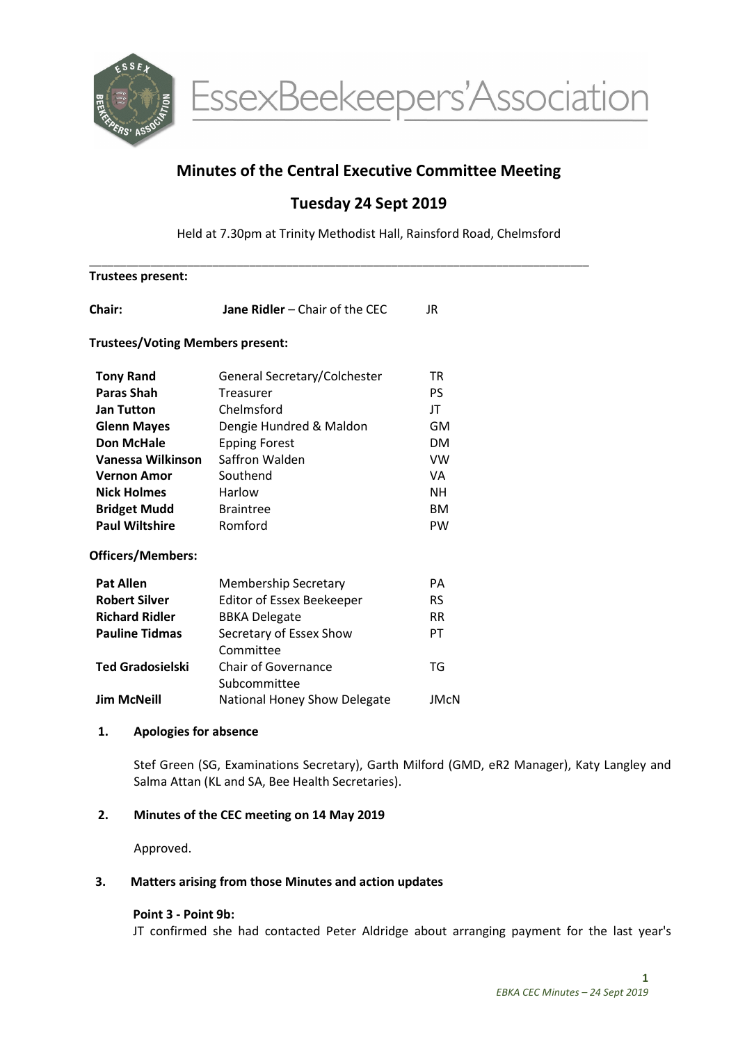

EssexBeekeepers'Association

# Minutes of the Central Executive Committee Meeting

# Tuesday 24 Sept 2019

Held at 7.30pm at Trinity Methodist Hall, Rainsford Road, Chelmsford

| <b>Trustees present:</b> |                                            |             |
|--------------------------|--------------------------------------------|-------------|
|                          | <b>Jane Ridler - Chair of the CEC</b>      | JR.         |
|                          | <b>Trustees/Voting Members present:</b>    |             |
| <b>Tony Rand</b>         | General Secretary/Colchester               | <b>TR</b>   |
| <b>Paras Shah</b>        | <b>Treasurer</b>                           | <b>PS</b>   |
| <b>Jan Tutton</b>        | Chelmsford                                 | JT          |
| <b>Glenn Mayes</b>       | Dengie Hundred & Maldon                    | GM          |
| <b>Don McHale</b>        | <b>Epping Forest</b>                       | <b>DM</b>   |
| Vanessa Wilkinson        | Saffron Walden                             | <b>VW</b>   |
| <b>Vernon Amor</b>       | Southend                                   | VA          |
| <b>Nick Holmes</b>       | Harlow                                     | <b>NH</b>   |
| <b>Bridget Mudd</b>      | <b>Braintree</b>                           | <b>BM</b>   |
| <b>Paul Wiltshire</b>    | Romford                                    | <b>PW</b>   |
| <b>Officers/Members:</b> |                                            |             |
| <b>Pat Allen</b>         | <b>Membership Secretary</b>                | PA          |
| <b>Robert Silver</b>     | <b>Editor of Essex Beekeeper</b>           | <b>RS</b>   |
| <b>Richard Ridler</b>    | <b>BBKA Delegate</b>                       | <b>RR</b>   |
| <b>Pauline Tidmas</b>    | Secretary of Essex Show<br>Committee       | PT          |
| <b>Ted Gradosielski</b>  | <b>Chair of Governance</b><br>Subcommittee | TG          |
| <b>Jim McNeill</b>       | National Honey Show Delegate               | <b>JMcN</b> |
|                          |                                            |             |

#### 1. Apologies for absence

Stef Green (SG, Examinations Secretary), Garth Milford (GMD, eR2 Manager), Katy Langley and Salma Attan (KL and SA, Bee Health Secretaries).

## 2. Minutes of the CEC meeting on 14 May 2019

Approved.

#### 3. Matters arising from those Minutes and action updates

#### Point 3 - Point 9b:

JT confirmed she had contacted Peter Aldridge about arranging payment for the last year's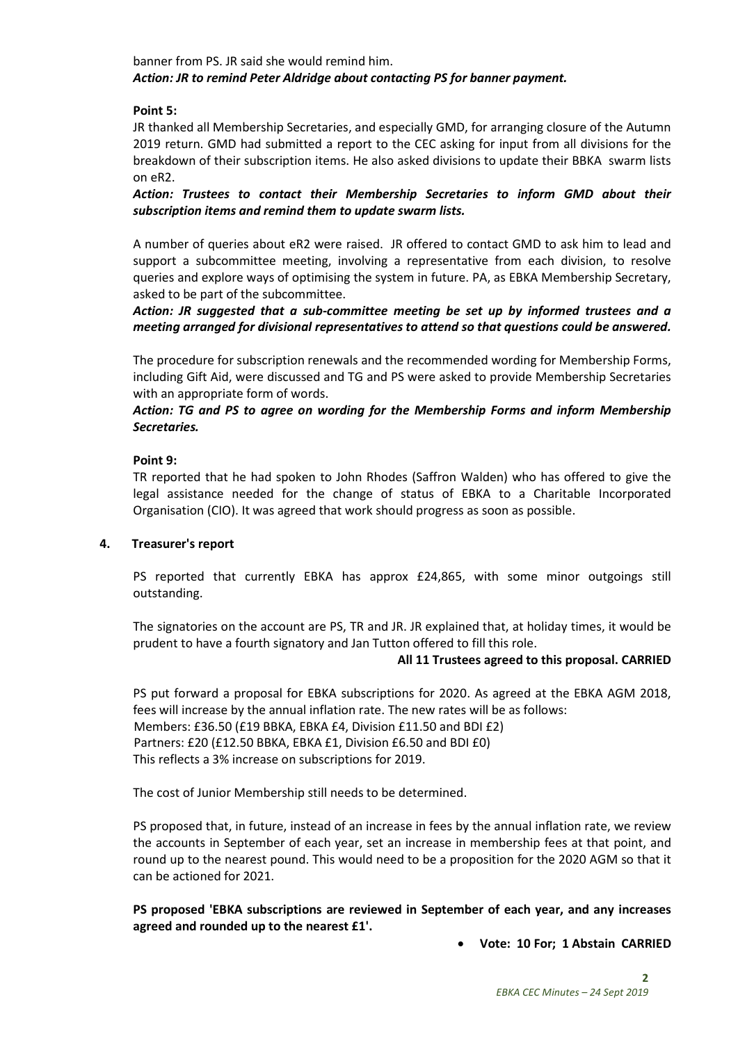banner from PS. JR said she would remind him. Action: JR to remind Peter Aldridge about contacting PS for banner payment.

### Point 5:

JR thanked all Membership Secretaries, and especially GMD, for arranging closure of the Autumn 2019 return. GMD had submitted a report to the CEC asking for input from all divisions for the breakdown of their subscription items. He also asked divisions to update their BBKA swarm lists on eR2.

Action: Trustees to contact their Membership Secretaries to inform GMD about their subscription items and remind them to update swarm lists.

A number of queries about eR2 were raised. JR offered to contact GMD to ask him to lead and support a subcommittee meeting, involving a representative from each division, to resolve queries and explore ways of optimising the system in future. PA, as EBKA Membership Secretary, asked to be part of the subcommittee.

Action: JR suggested that a sub-committee meeting be set up by informed trustees and a meeting arranged for divisional representatives to attend so that questions could be answered.

The procedure for subscription renewals and the recommended wording for Membership Forms, including Gift Aid, were discussed and TG and PS were asked to provide Membership Secretaries with an appropriate form of words.

## Action: TG and PS to agree on wording for the Membership Forms and inform Membership Secretaries.

## Point 9:

TR reported that he had spoken to John Rhodes (Saffron Walden) who has offered to give the legal assistance needed for the change of status of EBKA to a Charitable Incorporated Organisation (CIO). It was agreed that work should progress as soon as possible.

#### 4. Treasurer's report

PS reported that currently EBKA has approx £24,865, with some minor outgoings still outstanding.

The signatories on the account are PS, TR and JR. JR explained that, at holiday times, it would be prudent to have a fourth signatory and Jan Tutton offered to fill this role.

#### All 11 Trustees agreed to this proposal. CARRIED

PS put forward a proposal for EBKA subscriptions for 2020. As agreed at the EBKA AGM 2018, fees will increase by the annual inflation rate. The new rates will be as follows: Members: £36.50 (£19 BBKA, EBKA £4, Division £11.50 and BDI £2) Partners: £20 (£12.50 BBKA, EBKA £1, Division £6.50 and BDI £0) This reflects a 3% increase on subscriptions for 2019.

The cost of Junior Membership still needs to be determined.

PS proposed that, in future, instead of an increase in fees by the annual inflation rate, we review the accounts in September of each year, set an increase in membership fees at that point, and round up to the nearest pound. This would need to be a proposition for the 2020 AGM so that it can be actioned for 2021.

PS proposed 'EBKA subscriptions are reviewed in September of each year, and any increases agreed and rounded up to the nearest £1'.

Vote: 10 For; 1 Abstain CARRIED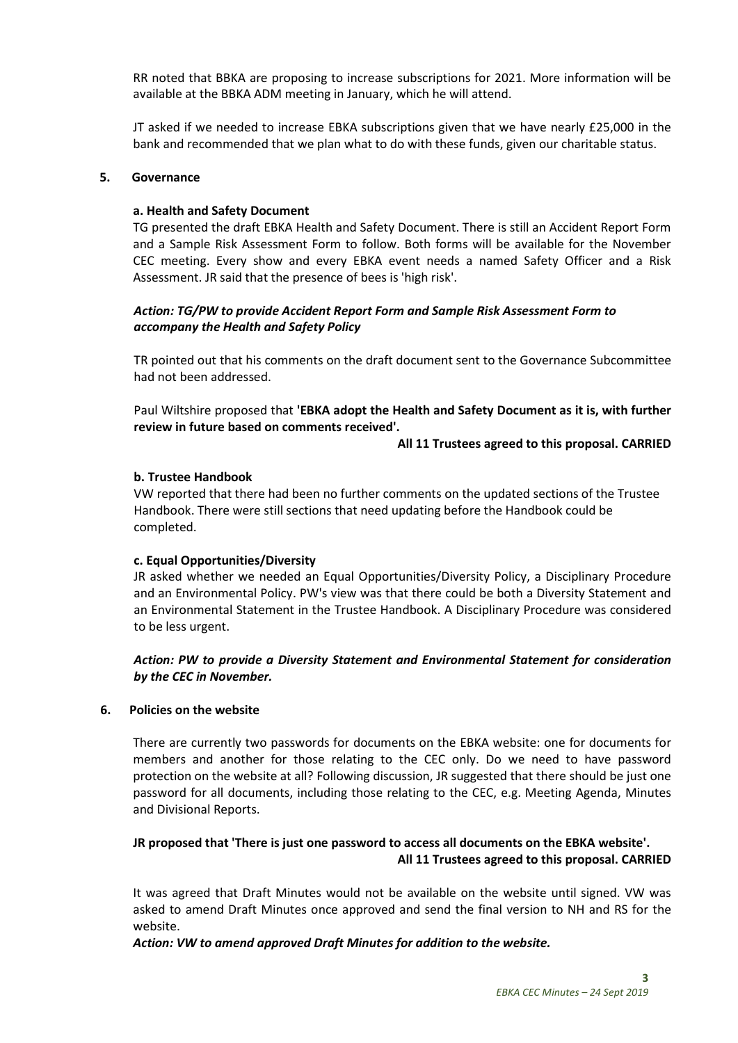RR noted that BBKA are proposing to increase subscriptions for 2021. More information will be available at the BBKA ADM meeting in January, which he will attend.

JT asked if we needed to increase EBKA subscriptions given that we have nearly £25,000 in the bank and recommended that we plan what to do with these funds, given our charitable status.

#### 5. Governance

#### a. Health and Safety Document

TG presented the draft EBKA Health and Safety Document. There is still an Accident Report Form and a Sample Risk Assessment Form to follow. Both forms will be available for the November CEC meeting. Every show and every EBKA event needs a named Safety Officer and a Risk Assessment. JR said that the presence of bees is 'high risk'.

### Action: TG/PW to provide Accident Report Form and Sample Risk Assessment Form to accompany the Health and Safety Policy

TR pointed out that his comments on the draft document sent to the Governance Subcommittee had not been addressed.

Paul Wiltshire proposed that 'EBKA adopt the Health and Safety Document as it is, with further review in future based on comments received'.

All 11 Trustees agreed to this proposal. CARRIED

#### b. Trustee Handbook

VW reported that there had been no further comments on the updated sections of the Trustee Handbook. There were still sections that need updating before the Handbook could be completed.

#### c. Equal Opportunities/Diversity

JR asked whether we needed an Equal Opportunities/Diversity Policy, a Disciplinary Procedure and an Environmental Policy. PW's view was that there could be both a Diversity Statement and an Environmental Statement in the Trustee Handbook. A Disciplinary Procedure was considered to be less urgent.

## Action: PW to provide a Diversity Statement and Environmental Statement for consideration by the CEC in November.

#### 6. Policies on the website

There are currently two passwords for documents on the EBKA website: one for documents for members and another for those relating to the CEC only. Do we need to have password protection on the website at all? Following discussion, JR suggested that there should be just one password for all documents, including those relating to the CEC, e.g. Meeting Agenda, Minutes and Divisional Reports.

## JR proposed that 'There is just one password to access all documents on the EBKA website'. All 11 Trustees agreed to this proposal. CARRIED

It was agreed that Draft Minutes would not be available on the website until signed. VW was asked to amend Draft Minutes once approved and send the final version to NH and RS for the website.

Action: VW to amend approved Draft Minutes for addition to the website.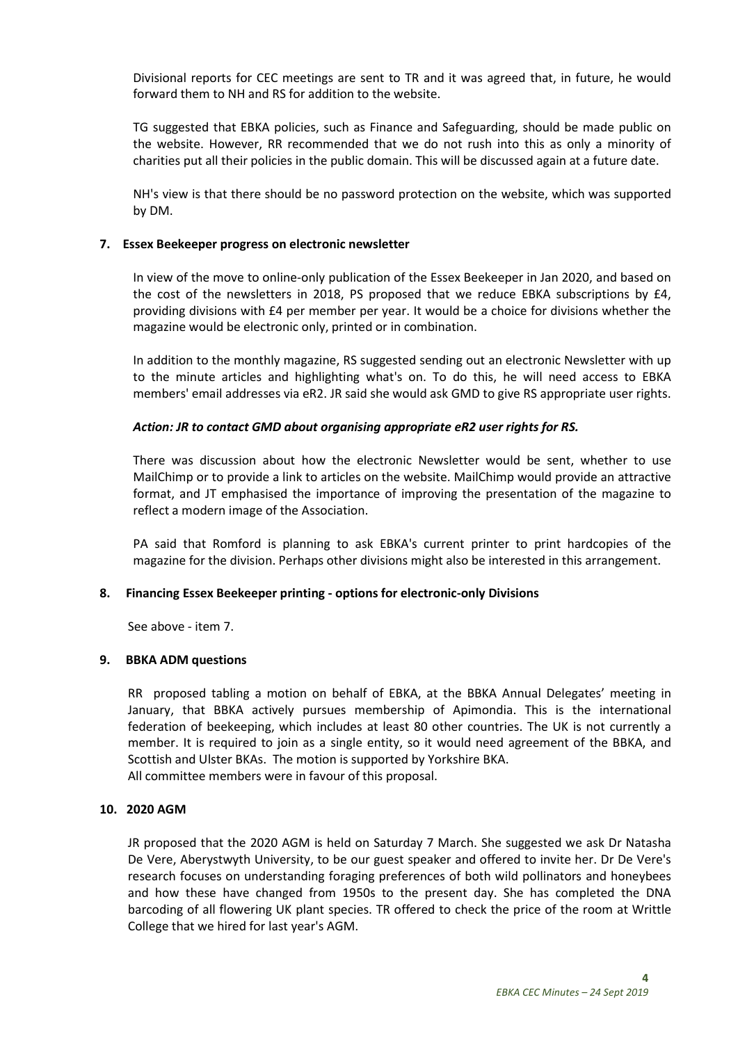Divisional reports for CEC meetings are sent to TR and it was agreed that, in future, he would forward them to NH and RS for addition to the website.

TG suggested that EBKA policies, such as Finance and Safeguarding, should be made public on the website. However, RR recommended that we do not rush into this as only a minority of charities put all their policies in the public domain. This will be discussed again at a future date.

NH's view is that there should be no password protection on the website, which was supported by DM.

#### 7. Essex Beekeeper progress on electronic newsletter

In view of the move to online-only publication of the Essex Beekeeper in Jan 2020, and based on the cost of the newsletters in 2018, PS proposed that we reduce EBKA subscriptions by £4, providing divisions with £4 per member per year. It would be a choice for divisions whether the magazine would be electronic only, printed or in combination.

In addition to the monthly magazine, RS suggested sending out an electronic Newsletter with up to the minute articles and highlighting what's on. To do this, he will need access to EBKA members' email addresses via eR2. JR said she would ask GMD to give RS appropriate user rights.

#### Action: JR to contact GMD about organising appropriate eR2 user rights for RS.

There was discussion about how the electronic Newsletter would be sent, whether to use MailChimp or to provide a link to articles on the website. MailChimp would provide an attractive format, and JT emphasised the importance of improving the presentation of the magazine to reflect a modern image of the Association.

PA said that Romford is planning to ask EBKA's current printer to print hardcopies of the magazine for the division. Perhaps other divisions might also be interested in this arrangement.

#### 8. Financing Essex Beekeeper printing - options for electronic-only Divisions

See above - item 7.

#### 9. BBKA ADM questions

RR proposed tabling a motion on behalf of EBKA, at the BBKA Annual Delegates' meeting in January, that BBKA actively pursues membership of Apimondia. This is the international federation of beekeeping, which includes at least 80 other countries. The UK is not currently a member. It is required to join as a single entity, so it would need agreement of the BBKA, and Scottish and Ulster BKAs. The motion is supported by Yorkshire BKA. All committee members were in favour of this proposal.

#### 10. 2020 AGM

JR proposed that the 2020 AGM is held on Saturday 7 March. She suggested we ask Dr Natasha De Vere, Aberystwyth University, to be our guest speaker and offered to invite her. Dr De Vere's research focuses on understanding foraging preferences of both wild pollinators and honeybees and how these have changed from 1950s to the present day. She has completed the DNA barcoding of all flowering UK plant species. TR offered to check the price of the room at Writtle College that we hired for last year's AGM.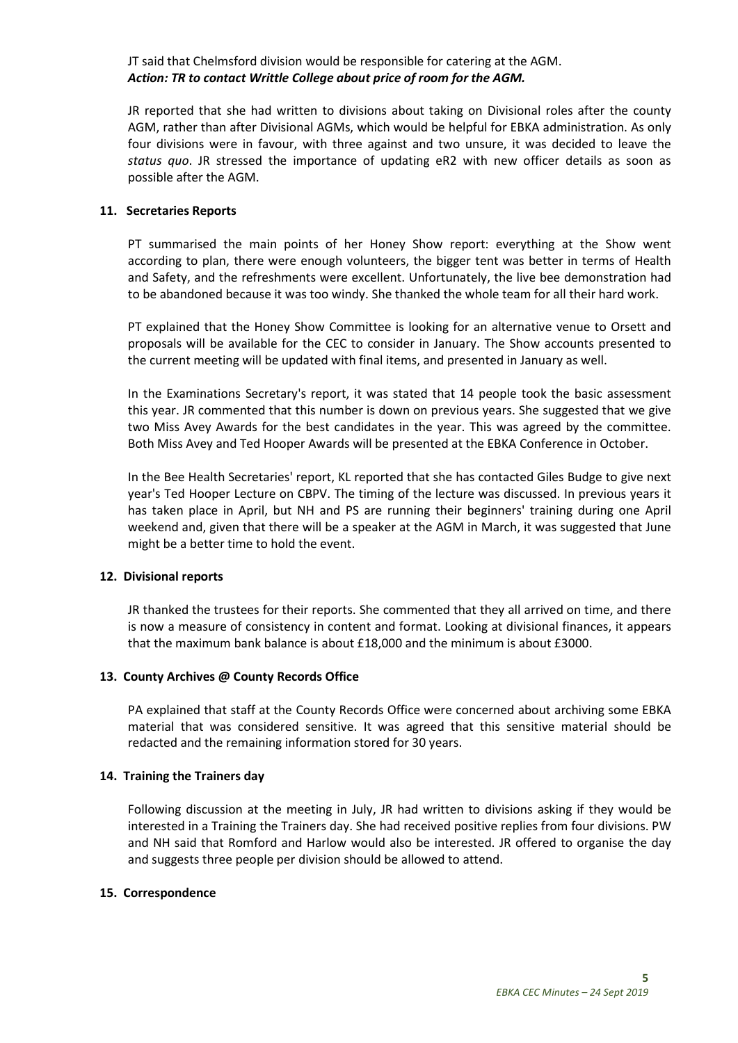JT said that Chelmsford division would be responsible for catering at the AGM. Action: TR to contact Writtle College about price of room for the AGM.

JR reported that she had written to divisions about taking on Divisional roles after the county AGM, rather than after Divisional AGMs, which would be helpful for EBKA administration. As only four divisions were in favour, with three against and two unsure, it was decided to leave the status quo. JR stressed the importance of updating eR2 with new officer details as soon as possible after the AGM.

#### 11. Secretaries Reports

PT summarised the main points of her Honey Show report: everything at the Show went according to plan, there were enough volunteers, the bigger tent was better in terms of Health and Safety, and the refreshments were excellent. Unfortunately, the live bee demonstration had to be abandoned because it was too windy. She thanked the whole team for all their hard work.

PT explained that the Honey Show Committee is looking for an alternative venue to Orsett and proposals will be available for the CEC to consider in January. The Show accounts presented to the current meeting will be updated with final items, and presented in January as well.

In the Examinations Secretary's report, it was stated that 14 people took the basic assessment this year. JR commented that this number is down on previous years. She suggested that we give two Miss Avey Awards for the best candidates in the year. This was agreed by the committee. Both Miss Avey and Ted Hooper Awards will be presented at the EBKA Conference in October.

In the Bee Health Secretaries' report, KL reported that she has contacted Giles Budge to give next year's Ted Hooper Lecture on CBPV. The timing of the lecture was discussed. In previous years it has taken place in April, but NH and PS are running their beginners' training during one April weekend and, given that there will be a speaker at the AGM in March, it was suggested that June might be a better time to hold the event.

#### 12. Divisional reports

JR thanked the trustees for their reports. She commented that they all arrived on time, and there is now a measure of consistency in content and format. Looking at divisional finances, it appears that the maximum bank balance is about £18,000 and the minimum is about £3000.

#### 13. County Archives @ County Records Office

PA explained that staff at the County Records Office were concerned about archiving some EBKA material that was considered sensitive. It was agreed that this sensitive material should be redacted and the remaining information stored for 30 years.

#### 14. Training the Trainers day

Following discussion at the meeting in July, JR had written to divisions asking if they would be interested in a Training the Trainers day. She had received positive replies from four divisions. PW and NH said that Romford and Harlow would also be interested. JR offered to organise the day and suggests three people per division should be allowed to attend.

#### 15. Correspondence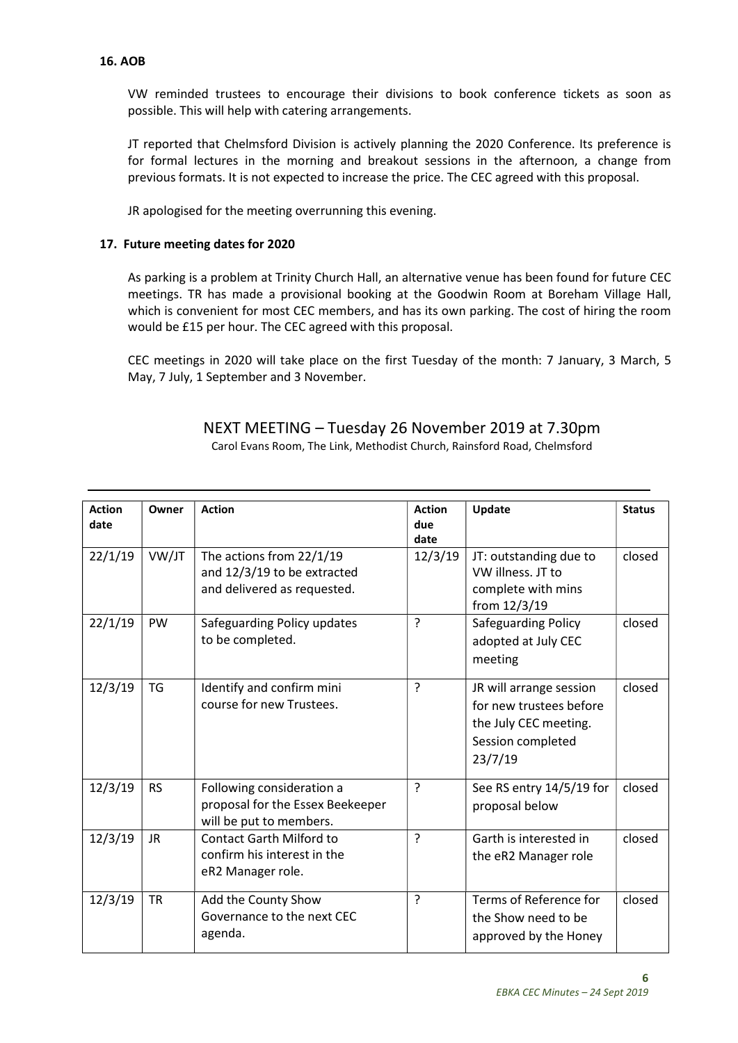### 16. AOB

VW reminded trustees to encourage their divisions to book conference tickets as soon as possible. This will help with catering arrangements.

JT reported that Chelmsford Division is actively planning the 2020 Conference. Its preference is for formal lectures in the morning and breakout sessions in the afternoon, a change from previous formats. It is not expected to increase the price. The CEC agreed with this proposal.

JR apologised for the meeting overrunning this evening.

## 17. Future meeting dates for 2020

As parking is a problem at Trinity Church Hall, an alternative venue has been found for future CEC meetings. TR has made a provisional booking at the Goodwin Room at Boreham Village Hall, which is convenient for most CEC members, and has its own parking. The cost of hiring the room would be £15 per hour. The CEC agreed with this proposal.

CEC meetings in 2020 will take place on the first Tuesday of the month: 7 January, 3 March, 5 May, 7 July, 1 September and 3 November.

| <b>Action</b> | Owner     | <b>Action</b>                    | <b>Action</b>  | Update                   | <b>Status</b> |
|---------------|-----------|----------------------------------|----------------|--------------------------|---------------|
| date          |           |                                  | due            |                          |               |
|               |           |                                  | date           |                          |               |
| 22/1/19       | VW/JT     | The actions from 22/1/19         | 12/3/19        | JT: outstanding due to   | closed        |
|               |           | and 12/3/19 to be extracted      |                | VW illness. JT to        |               |
|               |           | and delivered as requested.      |                | complete with mins       |               |
|               |           |                                  |                | from 12/3/19             |               |
| 22/1/19       | PW        | Safeguarding Policy updates      | ?              | Safeguarding Policy      | closed        |
|               |           | to be completed.                 |                | adopted at July CEC      |               |
|               |           |                                  |                | meeting                  |               |
|               |           |                                  |                |                          |               |
| 12/3/19       | TG        | Identify and confirm mini        | ?              | JR will arrange session  | closed        |
|               |           | course for new Trustees.         |                | for new trustees before  |               |
|               |           |                                  |                | the July CEC meeting.    |               |
|               |           |                                  |                | Session completed        |               |
|               |           |                                  |                | 23/7/19                  |               |
|               |           |                                  |                |                          |               |
| 12/3/19       | <b>RS</b> | Following consideration a        | $\overline{?}$ | See RS entry 14/5/19 for | closed        |
|               |           | proposal for the Essex Beekeeper |                | proposal below           |               |
|               |           | will be put to members.          |                |                          |               |
| 12/3/19       | JR.       | <b>Contact Garth Milford to</b>  | ?              | Garth is interested in   | closed        |
|               |           | confirm his interest in the      |                | the eR2 Manager role     |               |
|               |           | eR2 Manager role.                |                |                          |               |
| 12/3/19       | <b>TR</b> | Add the County Show              | $\overline{?}$ | Terms of Reference for   | closed        |
|               |           | Governance to the next CEC       |                | the Show need to be      |               |
|               |           | agenda.                          |                | approved by the Honey    |               |
|               |           |                                  |                |                          |               |

NEXT MEETING – Tuesday 26 November 2019 at 7.30pm

| Carol Evans Room, The Link, Methodist Church, Rainsford Road, Chelmsford |  |  |  |
|--------------------------------------------------------------------------|--|--|--|
|                                                                          |  |  |  |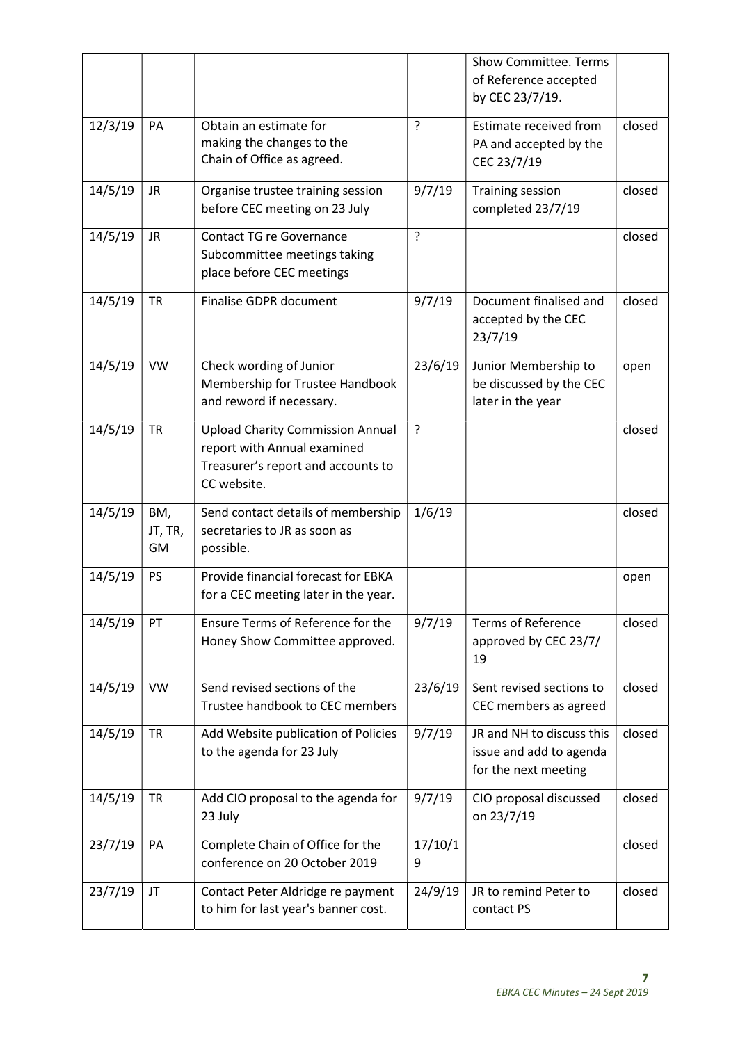|         |                      |                                                                                                                             |              | <b>Show Committee. Terms</b><br>of Reference accepted<br>by CEC 23/7/19.     |        |
|---------|----------------------|-----------------------------------------------------------------------------------------------------------------------------|--------------|------------------------------------------------------------------------------|--------|
| 12/3/19 | PA                   | Obtain an estimate for<br>making the changes to the<br>Chain of Office as agreed.                                           | ?            | Estimate received from<br>PA and accepted by the<br>CEC 23/7/19              | closed |
| 14/5/19 | JR                   | Organise trustee training session<br>before CEC meeting on 23 July                                                          | 9/7/19       | <b>Training session</b><br>completed 23/7/19                                 | closed |
| 14/5/19 | JR                   | <b>Contact TG re Governance</b><br>Subcommittee meetings taking<br>place before CEC meetings                                | ?            |                                                                              | closed |
| 14/5/19 | <b>TR</b>            | Finalise GDPR document                                                                                                      | 9/7/19       | Document finalised and<br>accepted by the CEC<br>23/7/19                     | closed |
| 14/5/19 | <b>VW</b>            | Check wording of Junior<br>Membership for Trustee Handbook<br>and reword if necessary.                                      | 23/6/19      | Junior Membership to<br>be discussed by the CEC<br>later in the year         | open   |
| 14/5/19 | <b>TR</b>            | <b>Upload Charity Commission Annual</b><br>report with Annual examined<br>Treasurer's report and accounts to<br>CC website. | $\cdot$      |                                                                              | closed |
| 14/5/19 | BM,<br>JT, TR,<br>GM | Send contact details of membership<br>secretaries to JR as soon as<br>possible.                                             | 1/6/19       |                                                                              | closed |
| 14/5/19 | <b>PS</b>            | Provide financial forecast for EBKA<br>for a CEC meeting later in the year.                                                 |              |                                                                              | open   |
| 14/5/19 | PT                   | Ensure Terms of Reference for the<br>Honey Show Committee approved.                                                         | 9/7/19       | <b>Terms of Reference</b><br>approved by CEC 23/7/<br>19                     | closed |
| 14/5/19 | <b>VW</b>            | Send revised sections of the<br>Trustee handbook to CEC members                                                             | 23/6/19      | Sent revised sections to<br>CEC members as agreed                            | closed |
| 14/5/19 | <b>TR</b>            | Add Website publication of Policies<br>to the agenda for 23 July                                                            | 9/7/19       | JR and NH to discuss this<br>issue and add to agenda<br>for the next meeting | closed |
| 14/5/19 | <b>TR</b>            | Add CIO proposal to the agenda for<br>23 July                                                                               | 9/7/19       | CIO proposal discussed<br>on 23/7/19                                         | closed |
| 23/7/19 | PA                   | Complete Chain of Office for the<br>conference on 20 October 2019                                                           | 17/10/1<br>9 |                                                                              | closed |
| 23/7/19 | JT                   | Contact Peter Aldridge re payment<br>to him for last year's banner cost.                                                    | 24/9/19      | JR to remind Peter to<br>contact PS                                          | closed |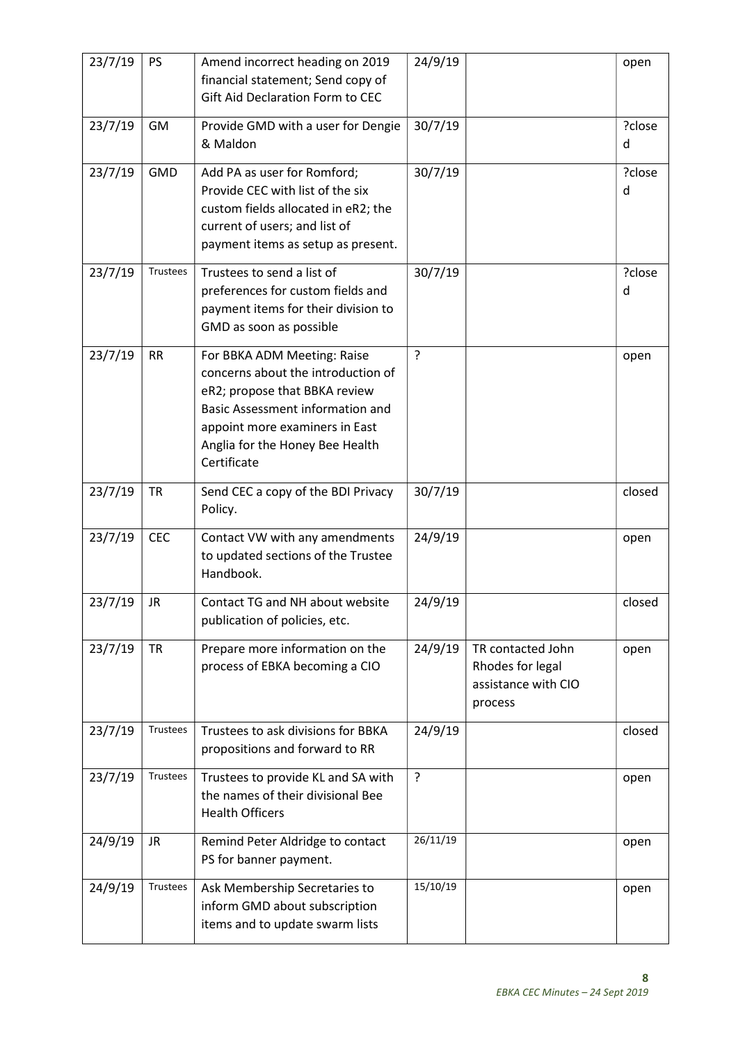| 23/7/19 | <b>PS</b>  | Amend incorrect heading on 2019<br>financial statement; Send copy of<br>Gift Aid Declaration Form to CEC                                                                                                                          | 24/9/19     |                                                                         | open        |
|---------|------------|-----------------------------------------------------------------------------------------------------------------------------------------------------------------------------------------------------------------------------------|-------------|-------------------------------------------------------------------------|-------------|
| 23/7/19 | GM         | Provide GMD with a user for Dengie<br>& Maldon                                                                                                                                                                                    | 30/7/19     |                                                                         | ?close<br>d |
| 23/7/19 | <b>GMD</b> | Add PA as user for Romford;<br>Provide CEC with list of the six<br>custom fields allocated in eR2; the<br>current of users; and list of<br>payment items as setup as present.                                                     | 30/7/19     |                                                                         | ?close<br>d |
| 23/7/19 | Trustees   | Trustees to send a list of<br>preferences for custom fields and<br>payment items for their division to<br>GMD as soon as possible                                                                                                 | 30/7/19     |                                                                         | ?close<br>d |
| 23/7/19 | <b>RR</b>  | For BBKA ADM Meeting: Raise<br>concerns about the introduction of<br>eR2; propose that BBKA review<br><b>Basic Assessment information and</b><br>appoint more examiners in East<br>Anglia for the Honey Bee Health<br>Certificate | ?           |                                                                         | open        |
| 23/7/19 | <b>TR</b>  | Send CEC a copy of the BDI Privacy<br>Policy.                                                                                                                                                                                     | 30/7/19     |                                                                         | closed      |
| 23/7/19 | <b>CEC</b> | Contact VW with any amendments<br>to updated sections of the Trustee<br>Handbook.                                                                                                                                                 | 24/9/19     |                                                                         | open        |
| 23/7/19 | JR         | Contact TG and NH about website<br>publication of policies, etc.                                                                                                                                                                  | 24/9/19     |                                                                         | closed      |
| 23/7/19 | <b>TR</b>  | Prepare more information on the<br>process of EBKA becoming a CIO                                                                                                                                                                 | 24/9/19     | TR contacted John<br>Rhodes for legal<br>assistance with CIO<br>process | open        |
| 23/7/19 | Trustees   | Trustees to ask divisions for BBKA<br>propositions and forward to RR                                                                                                                                                              | 24/9/19     |                                                                         | closed      |
| 23/7/19 | Trustees   | Trustees to provide KL and SA with<br>the names of their divisional Bee<br><b>Health Officers</b>                                                                                                                                 | $\tilde{?}$ |                                                                         | open        |
| 24/9/19 | JR.        | Remind Peter Aldridge to contact<br>PS for banner payment.                                                                                                                                                                        | 26/11/19    |                                                                         | open        |
| 24/9/19 | Trustees   | Ask Membership Secretaries to<br>inform GMD about subscription<br>items and to update swarm lists                                                                                                                                 | 15/10/19    |                                                                         | open        |